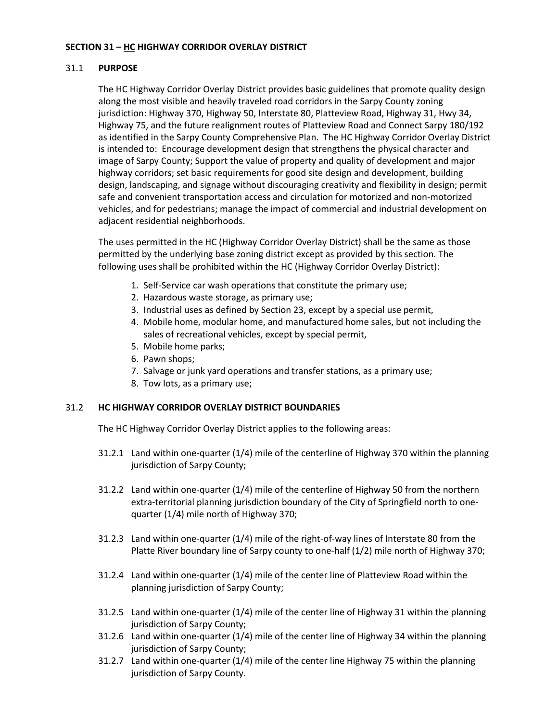## **SECTION 31 – HC HIGHWAY CORRIDOR OVERLAY DISTRICT**

### 31.1 **PURPOSE**

The HC Highway Corridor Overlay District provides basic guidelines that promote quality design along the most visible and heavily traveled road corridors in the Sarpy County zoning jurisdiction: Highway 370, Highway 50, Interstate 80, Platteview Road, Highway 31, Hwy 34, Highway 75, and the future realignment routes of Platteview Road and Connect Sarpy 180/192 as identified in the Sarpy County Comprehensive Plan. The HC Highway Corridor Overlay District is intended to: Encourage development design that strengthens the physical character and image of Sarpy County; Support the value of property and quality of development and major highway corridors; set basic requirements for good site design and development, building design, landscaping, and signage without discouraging creativity and flexibility in design; permit safe and convenient transportation access and circulation for motorized and non-motorized vehicles, and for pedestrians; manage the impact of commercial and industrial development on adjacent residential neighborhoods.

The uses permitted in the HC (Highway Corridor Overlay District) shall be the same as those permitted by the underlying base zoning district except as provided by this section. The following uses shall be prohibited within the HC (Highway Corridor Overlay District):

- 1. Self-Service car wash operations that constitute the primary use;
- 2. Hazardous waste storage, as primary use;
- 3. Industrial uses as defined by Section 23, except by a special use permit,
- 4. Mobile home, modular home, and manufactured home sales, but not including the sales of recreational vehicles, except by special permit,
- 5. Mobile home parks;
- 6. Pawn shops;
- 7. Salvage or junk yard operations and transfer stations, as a primary use;
- 8. Tow lots, as a primary use;

### 31.2 **HC HIGHWAY CORRIDOR OVERLAY DISTRICT BOUNDARIES**

The HC Highway Corridor Overlay District applies to the following areas:

- 31.2.1 Land within one-quarter (1/4) mile of the centerline of Highway 370 within the planning jurisdiction of Sarpy County;
- 31.2.2 Land within one-quarter (1/4) mile of the centerline of Highway 50 from the northern extra-territorial planning jurisdiction boundary of the City of Springfield north to onequarter (1/4) mile north of Highway 370;
- 31.2.3 Land within one-quarter (1/4) mile of the right-of-way lines of Interstate 80 from the Platte River boundary line of Sarpy county to one-half (1/2) mile north of Highway 370;
- 31.2.4 Land within one-quarter (1/4) mile of the center line of Platteview Road within the planning jurisdiction of Sarpy County;
- 31.2.5 Land within one-quarter (1/4) mile of the center line of Highway 31 within the planning jurisdiction of Sarpy County;
- 31.2.6 Land within one-quarter (1/4) mile of the center line of Highway 34 within the planning jurisdiction of Sarpy County;
- 31.2.7 Land within one-quarter (1/4) mile of the center line Highway 75 within the planning jurisdiction of Sarpy County.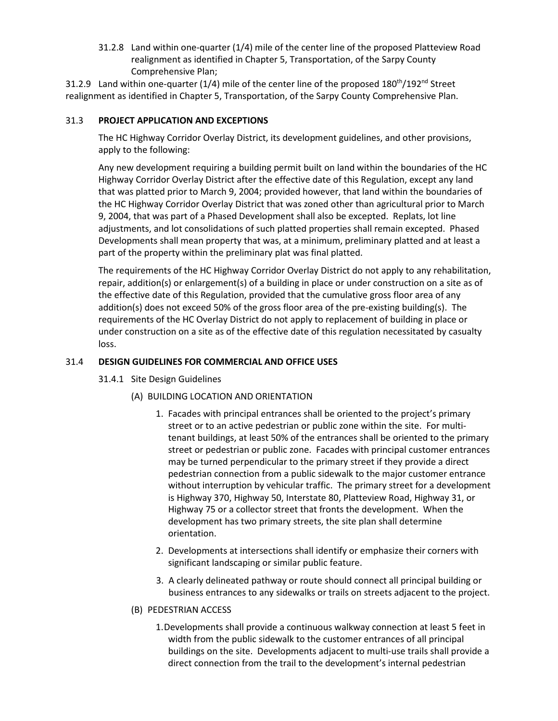31.2.8 Land within one-quarter (1/4) mile of the center line of the proposed Platteview Road realignment as identified in Chapter 5, Transportation, of the Sarpy County Comprehensive Plan;

31.2.9 Land within one-quarter (1/4) mile of the center line of the proposed 180<sup>th</sup>/192<sup>nd</sup> Street realignment as identified in Chapter 5, Transportation, of the Sarpy County Comprehensive Plan.

# 31.3 **PROJECT APPLICATION AND EXCEPTIONS**

The HC Highway Corridor Overlay District, its development guidelines, and other provisions, apply to the following:

Any new development requiring a building permit built on land within the boundaries of the HC Highway Corridor Overlay District after the effective date of this Regulation, except any land that was platted prior to March 9, 2004; provided however, that land within the boundaries of the HC Highway Corridor Overlay District that was zoned other than agricultural prior to March 9, 2004, that was part of a Phased Development shall also be excepted. Replats, lot line adjustments, and lot consolidations of such platted properties shall remain excepted. Phased Developments shall mean property that was, at a minimum, preliminary platted and at least a part of the property within the preliminary plat was final platted.

The requirements of the HC Highway Corridor Overlay District do not apply to any rehabilitation, repair, addition(s) or enlargement(s) of a building in place or under construction on a site as of the effective date of this Regulation, provided that the cumulative gross floor area of any addition(s) does not exceed 50% of the gross floor area of the pre-existing building(s). The requirements of the HC Overlay District do not apply to replacement of building in place or under construction on a site as of the effective date of this regulation necessitated by casualty loss.

# 31.4 **DESIGN GUIDELINES FOR COMMERCIAL AND OFFICE USES**

- 31.4.1 Site Design Guidelines
	- (A) BUILDING LOCATION AND ORIENTATION
		- 1. Facades with principal entrances shall be oriented to the project's primary street or to an active pedestrian or public zone within the site. For multitenant buildings, at least 50% of the entrances shall be oriented to the primary street or pedestrian or public zone. Facades with principal customer entrances may be turned perpendicular to the primary street if they provide a direct pedestrian connection from a public sidewalk to the major customer entrance without interruption by vehicular traffic. The primary street for a development is Highway 370, Highway 50, Interstate 80, Platteview Road, Highway 31, or Highway 75 or a collector street that fronts the development. When the development has two primary streets, the site plan shall determine orientation.
		- 2. Developments at intersections shall identify or emphasize their corners with significant landscaping or similar public feature.
		- 3. A clearly delineated pathway or route should connect all principal building or business entrances to any sidewalks or trails on streets adjacent to the project.

## (B) PEDESTRIAN ACCESS

1.Developments shall provide a continuous walkway connection at least 5 feet in width from the public sidewalk to the customer entrances of all principal buildings on the site. Developments adjacent to multi-use trails shall provide a direct connection from the trail to the development's internal pedestrian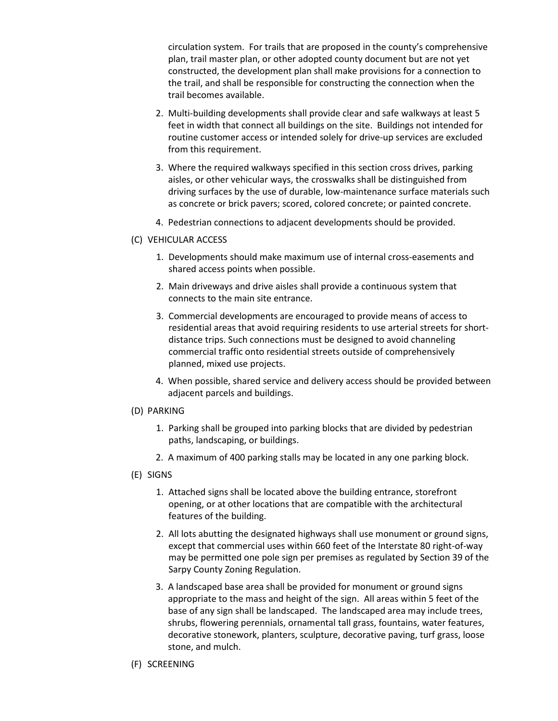circulation system. For trails that are proposed in the county's comprehensive plan, trail master plan, or other adopted county document but are not yet constructed, the development plan shall make provisions for a connection to the trail, and shall be responsible for constructing the connection when the trail becomes available.

- 2. Multi-building developments shall provide clear and safe walkways at least 5 feet in width that connect all buildings on the site. Buildings not intended for routine customer access or intended solely for drive-up services are excluded from this requirement.
- 3. Where the required walkways specified in this section cross drives, parking aisles, or other vehicular ways, the crosswalks shall be distinguished from driving surfaces by the use of durable, low-maintenance surface materials such as concrete or brick pavers; scored, colored concrete; or painted concrete.
- 4. Pedestrian connections to adjacent developments should be provided.
- (C) VEHICULAR ACCESS
	- 1. Developments should make maximum use of internal cross-easements and shared access points when possible.
	- 2. Main driveways and drive aisles shall provide a continuous system that connects to the main site entrance.
	- 3. Commercial developments are encouraged to provide means of access to residential areas that avoid requiring residents to use arterial streets for shortdistance trips. Such connections must be designed to avoid channeling commercial traffic onto residential streets outside of comprehensively planned, mixed use projects.
	- 4. When possible, shared service and delivery access should be provided between adjacent parcels and buildings.

### (D) PARKING

- 1. Parking shall be grouped into parking blocks that are divided by pedestrian paths, landscaping, or buildings.
- 2. A maximum of 400 parking stalls may be located in any one parking block.
- (E) SIGNS
	- 1. Attached signs shall be located above the building entrance, storefront opening, or at other locations that are compatible with the architectural features of the building.
	- 2. All lots abutting the designated highways shall use monument or ground signs, except that commercial uses within 660 feet of the Interstate 80 right-of-way may be permitted one pole sign per premises as regulated by Section 39 of the Sarpy County Zoning Regulation.
	- 3. A landscaped base area shall be provided for monument or ground signs appropriate to the mass and height of the sign. All areas within 5 feet of the base of any sign shall be landscaped. The landscaped area may include trees, shrubs, flowering perennials, ornamental tall grass, fountains, water features, decorative stonework, planters, sculpture, decorative paving, turf grass, loose stone, and mulch.
- (F) SCREENING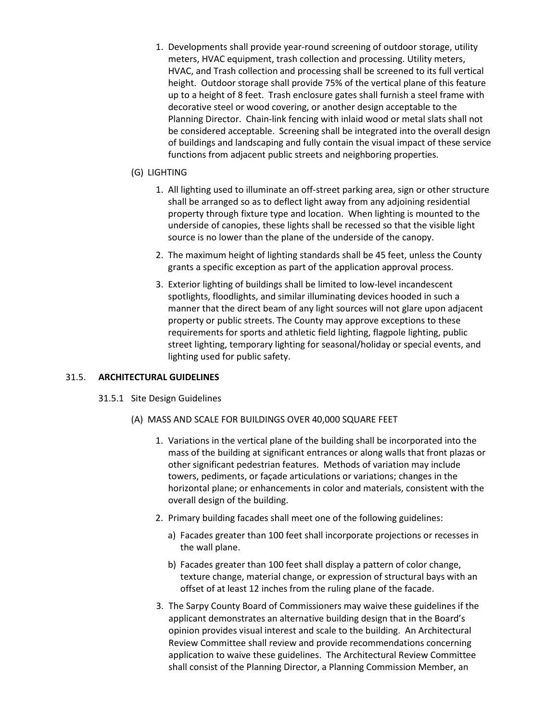1. Developments shall provide year-round screening of outdoor storage, utility meters, HVAC equipment, trash collection and processing. Utility meters, HVAC, and Trash collection and processing shall be screened to its full vertical height. Outdoor storage shall provide 75% of the vertical plane of this feature up to a height of 8 feet. Trash enclosure gates shall furnish a steel frame with decorative steel or wood covering, or another design acceptable to the Planning Director. Chain-link fencing with inlaid wood or metal slats shall not be considered acceptable. Screening shall be integrated into the overall design of buildings and landscaping and fully contain the visual impact of these service functions from adjacent public streets and neighboring properties.

# (G) LIGHTING

- 1. All lighting used to illuminate an off-street parking area, sign or other structure shall be arranged so as to deflect light away from any adjoining residential property through fixture type and location. When lighting is mounted to the underside of canopies, these lights shall be recessed so that the visible light source is no lower than the plane of the underside of the canopy.
- 2. The maximum height of lighting standards shall be 45 feet, unless the County grants a specific exception as part of the application approval process.
- 3. Exterior lighting of buildings shall be limited to low-level incandescent spotlights, floodlights, and similar illuminating devices hooded in such a manner that the direct beam of any light sources will not glare upon adjacent property or public streets. The County may approve exceptions to these requirements for sports and athletic field lighting, flagpole lighting, public street lighting, temporary lighting for seasonal/holiday or special events, and lighting used for public safety.

## 31.5. **ARCHITECTURAL GUIDELINES**

- 31.5.1 Site Design Guidelines
	- (A) MASS AND SCALE FOR BUILDINGS OVER 40,000 SQUARE FEET
		- 1. Variations in the vertical plane of the building shall be incorporated into the mass of the building at significant entrances or along walls that front plazas or other significant pedestrian features. Methods of variation may include towers, pediments, or façade articulations or variations; changes in the horizontal plane; or enhancements in color and materials, consistent with the overall design of the building.
		- 2. Primary building facades shall meet one of the following guidelines:
			- a) Facades greater than 100 feet shall incorporate projections or recesses in the wall plane.
			- b) Facades greater than 100 feet shall display a pattern of color change, texture change, material change, or expression of structural bays with an offset of at least 12 inches from the ruling plane of the facade.
		- 3. The Sarpy County Board of Commissioners may waive these guidelines if the applicant demonstrates an alternative building design that in the Board's opinion provides visual interest and scale to the building. An Architectural Review Committee shall review and provide recommendations concerning application to waive these guidelines. The Architectural Review Committee shall consist of the Planning Director, a Planning Commission Member, an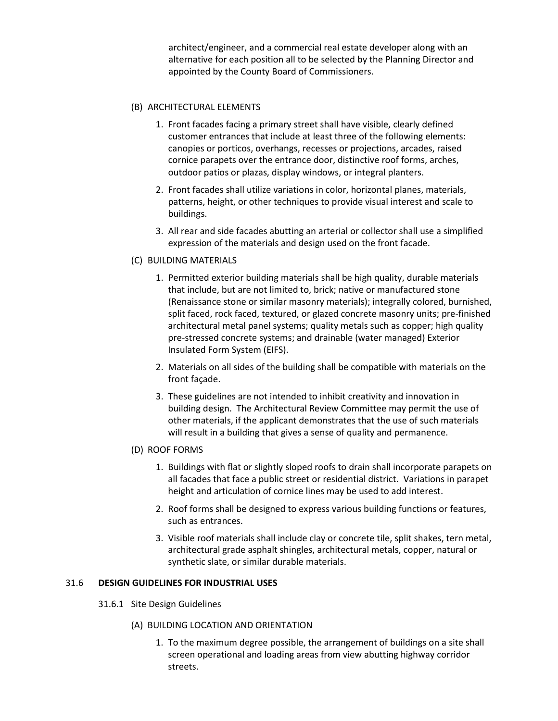architect/engineer, and a commercial real estate developer along with an alternative for each position all to be selected by the Planning Director and appointed by the County Board of Commissioners.

### (B) ARCHITECTURAL ELEMENTS

- 1. Front facades facing a primary street shall have visible, clearly defined customer entrances that include at least three of the following elements: canopies or porticos, overhangs, recesses or projections, arcades, raised cornice parapets over the entrance door, distinctive roof forms, arches, outdoor patios or plazas, display windows, or integral planters.
- 2. Front facades shall utilize variations in color, horizontal planes, materials, patterns, height, or other techniques to provide visual interest and scale to buildings.
- 3. All rear and side facades abutting an arterial or collector shall use a simplified expression of the materials and design used on the front facade.

## (C) BUILDING MATERIALS

- 1. Permitted exterior building materials shall be high quality, durable materials that include, but are not limited to, brick; native or manufactured stone (Renaissance stone or similar masonry materials); integrally colored, burnished, split faced, rock faced, textured, or glazed concrete masonry units; pre-finished architectural metal panel systems; quality metals such as copper; high quality pre-stressed concrete systems; and drainable (water managed) Exterior Insulated Form System (EIFS).
- 2. Materials on all sides of the building shall be compatible with materials on the front façade.
- 3. These guidelines are not intended to inhibit creativity and innovation in building design. The Architectural Review Committee may permit the use of other materials, if the applicant demonstrates that the use of such materials will result in a building that gives a sense of quality and permanence.

### (D) ROOF FORMS

- 1. Buildings with flat or slightly sloped roofs to drain shall incorporate parapets on all facades that face a public street or residential district. Variations in parapet height and articulation of cornice lines may be used to add interest.
- 2. Roof forms shall be designed to express various building functions or features, such as entrances.
- 3. Visible roof materials shall include clay or concrete tile, split shakes, tern metal, architectural grade asphalt shingles, architectural metals, copper, natural or synthetic slate, or similar durable materials.

### 31.6 **DESIGN GUIDELINES FOR INDUSTRIAL USES**

31.6.1 Site Design Guidelines

### (A) BUILDING LOCATION AND ORIENTATION

1. To the maximum degree possible, the arrangement of buildings on a site shall screen operational and loading areas from view abutting highway corridor streets.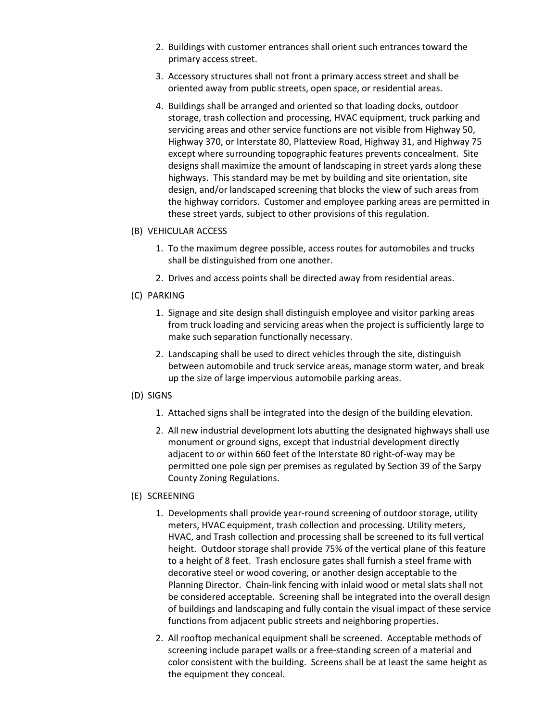- 2. Buildings with customer entrances shall orient such entrances toward the primary access street.
- 3. Accessory structures shall not front a primary access street and shall be oriented away from public streets, open space, or residential areas.
- 4. Buildings shall be arranged and oriented so that loading docks, outdoor storage, trash collection and processing, HVAC equipment, truck parking and servicing areas and other service functions are not visible from Highway 50, Highway 370, or Interstate 80, Platteview Road, Highway 31, and Highway 75 except where surrounding topographic features prevents concealment. Site designs shall maximize the amount of landscaping in street yards along these highways. This standard may be met by building and site orientation, site design, and/or landscaped screening that blocks the view of such areas from the highway corridors. Customer and employee parking areas are permitted in these street yards, subject to other provisions of this regulation.
- (B) VEHICULAR ACCESS
	- 1. To the maximum degree possible, access routes for automobiles and trucks shall be distinguished from one another.
	- 2. Drives and access points shall be directed away from residential areas.
- (C) PARKING
	- 1. Signage and site design shall distinguish employee and visitor parking areas from truck loading and servicing areas when the project is sufficiently large to make such separation functionally necessary.
	- 2. Landscaping shall be used to direct vehicles through the site, distinguish between automobile and truck service areas, manage storm water, and break up the size of large impervious automobile parking areas.
- (D) SIGNS
	- 1. Attached signs shall be integrated into the design of the building elevation.
	- 2. All new industrial development lots abutting the designated highways shall use monument or ground signs, except that industrial development directly adjacent to or within 660 feet of the Interstate 80 right-of-way may be permitted one pole sign per premises as regulated by Section 39 of the Sarpy County Zoning Regulations.
- (E) SCREENING
	- 1. Developments shall provide year-round screening of outdoor storage, utility meters, HVAC equipment, trash collection and processing. Utility meters, HVAC, and Trash collection and processing shall be screened to its full vertical height. Outdoor storage shall provide 75% of the vertical plane of this feature to a height of 8 feet. Trash enclosure gates shall furnish a steel frame with decorative steel or wood covering, or another design acceptable to the Planning Director. Chain-link fencing with inlaid wood or metal slats shall not be considered acceptable. Screening shall be integrated into the overall design of buildings and landscaping and fully contain the visual impact of these service functions from adjacent public streets and neighboring properties.
	- 2. All rooftop mechanical equipment shall be screened. Acceptable methods of screening include parapet walls or a free-standing screen of a material and color consistent with the building. Screens shall be at least the same height as the equipment they conceal.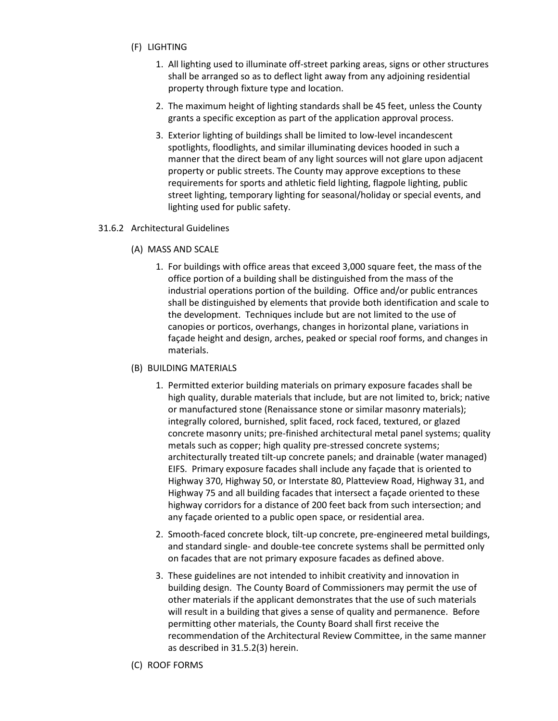- (F) LIGHTING
	- 1. All lighting used to illuminate off-street parking areas, signs or other structures shall be arranged so as to deflect light away from any adjoining residential property through fixture type and location.
	- 2. The maximum height of lighting standards shall be 45 feet, unless the County grants a specific exception as part of the application approval process.
	- 3. Exterior lighting of buildings shall be limited to low-level incandescent spotlights, floodlights, and similar illuminating devices hooded in such a manner that the direct beam of any light sources will not glare upon adjacent property or public streets. The County may approve exceptions to these requirements for sports and athletic field lighting, flagpole lighting, public street lighting, temporary lighting for seasonal/holiday or special events, and lighting used for public safety.

### 31.6.2 Architectural Guidelines

- (A) MASS AND SCALE
	- 1. For buildings with office areas that exceed 3,000 square feet, the mass of the office portion of a building shall be distinguished from the mass of the industrial operations portion of the building. Office and/or public entrances shall be distinguished by elements that provide both identification and scale to the development. Techniques include but are not limited to the use of canopies or porticos, overhangs, changes in horizontal plane, variations in façade height and design, arches, peaked or special roof forms, and changes in materials.

### (B) BUILDING MATERIALS

- 1. Permitted exterior building materials on primary exposure facades shall be high quality, durable materials that include, but are not limited to, brick; native or manufactured stone (Renaissance stone or similar masonry materials); integrally colored, burnished, split faced, rock faced, textured, or glazed concrete masonry units; pre-finished architectural metal panel systems; quality metals such as copper; high quality pre-stressed concrete systems; architecturally treated tilt-up concrete panels; and drainable (water managed) EIFS. Primary exposure facades shall include any façade that is oriented to Highway 370, Highway 50, or Interstate 80, Platteview Road, Highway 31, and Highway 75 and all building facades that intersect a façade oriented to these highway corridors for a distance of 200 feet back from such intersection; and any façade oriented to a public open space, or residential area.
- 2. Smooth-faced concrete block, tilt-up concrete, pre-engineered metal buildings, and standard single- and double-tee concrete systems shall be permitted only on facades that are not primary exposure facades as defined above.
- 3. These guidelines are not intended to inhibit creativity and innovation in building design. The County Board of Commissioners may permit the use of other materials if the applicant demonstrates that the use of such materials will result in a building that gives a sense of quality and permanence. Before permitting other materials, the County Board shall first receive the recommendation of the Architectural Review Committee, in the same manner as described in 31.5.2(3) herein.